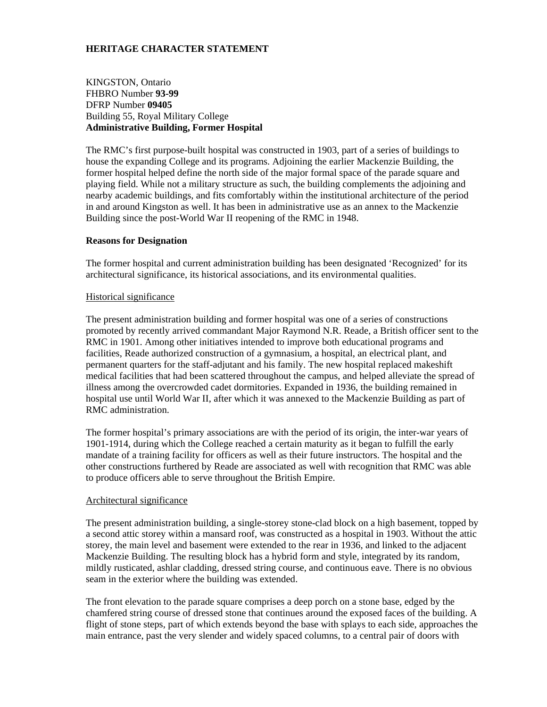# **HERITAGE CHARACTER STATEMENT**

KINGSTON, Ontario FHBRO Number **93-99**  DFRP Number **09405** Building 55, Royal Military College **Administrative Building, Former Hospital** 

The RMC's first purpose-built hospital was constructed in 1903, part of a series of buildings to house the expanding College and its programs. Adjoining the earlier Mackenzie Building, the former hospital helped define the north side of the major formal space of the parade square and playing field. While not a military structure as such, the building complements the adjoining and nearby academic buildings, and fits comfortably within the institutional architecture of the period in and around Kingston as well. It has been in administrative use as an annex to the Mackenzie Building since the post-World War II reopening of the RMC in 1948.

### **Reasons for Designation**

The former hospital and current administration building has been designated 'Recognized' for its architectural significance, its historical associations, and its environmental qualities.

### Historical significance

The present administration building and former hospital was one of a series of constructions promoted by recently arrived commandant Major Raymond N.R. Reade, a British officer sent to the RMC in 1901. Among other initiatives intended to improve both educational programs and facilities, Reade authorized construction of a gymnasium, a hospital, an electrical plant, and permanent quarters for the staff-adjutant and his family. The new hospital replaced makeshift medical facilities that had been scattered throughout the campus, and helped alleviate the spread of illness among the overcrowded cadet dormitories. Expanded in 1936, the building remained in hospital use until World War II, after which it was annexed to the Mackenzie Building as part of RMC administration.

The former hospital's primary associations are with the period of its origin, the inter-war years of 1901-1914, during which the College reached a certain maturity as it began to fulfill the early mandate of a training facility for officers as well as their future instructors. The hospital and the other constructions furthered by Reade are associated as well with recognition that RMC was able to produce officers able to serve throughout the British Empire.

#### Architectural significance

The present administration building, a single-storey stone-clad block on a high basement, topped by a second attic storey within a mansard roof, was constructed as a hospital in 1903. Without the attic storey, the main level and basement were extended to the rear in 1936, and linked to the adjacent Mackenzie Building. The resulting block has a hybrid form and style, integrated by its random, mildly rusticated, ashlar cladding, dressed string course, and continuous eave. There is no obvious seam in the exterior where the building was extended.

The front elevation to the parade square comprises a deep porch on a stone base, edged by the chamfered string course of dressed stone that continues around the exposed faces of the building. A flight of stone steps, part of which extends beyond the base with splays to each side, approaches the main entrance, past the very slender and widely spaced columns, to a central pair of doors with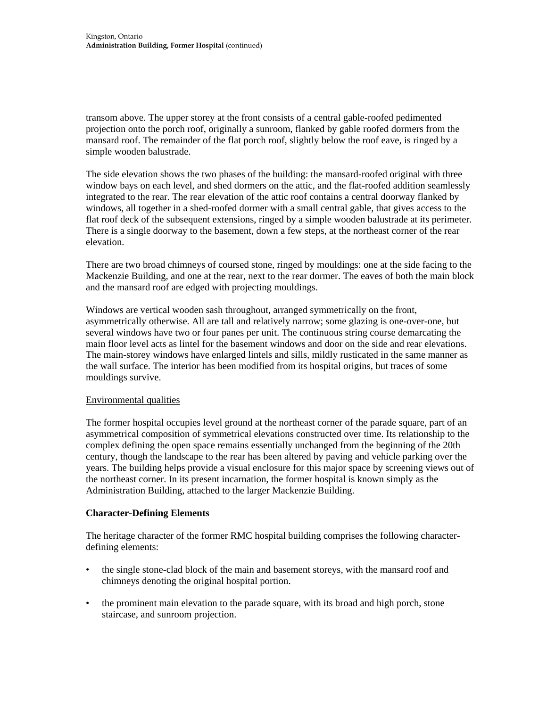transom above. The upper storey at the front consists of a central gable-roofed pedimented projection onto the porch roof, originally a sunroom, flanked by gable roofed dormers from the mansard roof. The remainder of the flat porch roof, slightly below the roof eave, is ringed by a simple wooden balustrade.

The side elevation shows the two phases of the building: the mansard-roofed original with three window bays on each level, and shed dormers on the attic, and the flat-roofed addition seamlessly integrated to the rear. The rear elevation of the attic roof contains a central doorway flanked by windows, all together in a shed-roofed dormer with a small central gable, that gives access to the flat roof deck of the subsequent extensions, ringed by a simple wooden balustrade at its perimeter. There is a single doorway to the basement, down a few steps, at the northeast corner of the rear elevation.

There are two broad chimneys of coursed stone, ringed by mouldings: one at the side facing to the Mackenzie Building, and one at the rear, next to the rear dormer. The eaves of both the main block and the mansard roof are edged with projecting mouldings.

Windows are vertical wooden sash throughout, arranged symmetrically on the front, asymmetrically otherwise. All are tall and relatively narrow; some glazing is one-over-one, but several windows have two or four panes per unit. The continuous string course demarcating the main floor level acts as lintel for the basement windows and door on the side and rear elevations. The main-storey windows have enlarged lintels and sills, mildly rusticated in the same manner as the wall surface. The interior has been modified from its hospital origins, but traces of some mouldings survive.

# Environmental qualities

The former hospital occupies level ground at the northeast corner of the parade square, part of an asymmetrical composition of symmetrical elevations constructed over time. Its relationship to the complex defining the open space remains essentially unchanged from the beginning of the 20th century, though the landscape to the rear has been altered by paving and vehicle parking over the years. The building helps provide a visual enclosure for this major space by screening views out of the northeast corner. In its present incarnation, the former hospital is known simply as the Administration Building, attached to the larger Mackenzie Building.

# **Character-Defining Elements**

The heritage character of the former RMC hospital building comprises the following characterdefining elements:

- the single stone-clad block of the main and basement storeys, with the mansard roof and chimneys denoting the original hospital portion.
- the prominent main elevation to the parade square, with its broad and high porch, stone staircase, and sunroom projection.